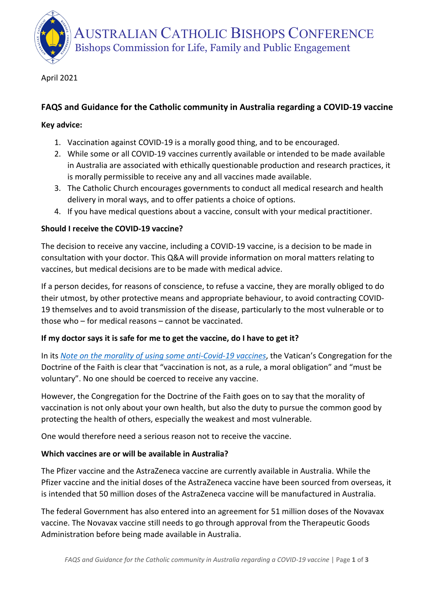AUSTRALIAN CATHOLIC BISHOPS CONFERENCE Bishops Commission for Life, Family and Public Engagement

April 2021

# **FAQS and Guidance for the Catholic community in Australia regarding a COVID-19 vaccine**

### **Key advice:**

- 1. Vaccination against COVID-19 is a morally good thing, and to be encouraged.
- 2. While some or all COVID-19 vaccines currently available or intended to be made available in Australia are associated with ethically questionable production and research practices, it is morally permissible to receive any and all vaccines made available.
- 3. The Catholic Church encourages governments to conduct all medical research and health delivery in moral ways, and to offer patients a choice of options.
- 4. If you have medical questions about a vaccine, consult with your medical practitioner.

### **Should I receive the COVID-19 vaccine?**

The decision to receive any vaccine, including a COVID-19 vaccine, is a decision to be made in consultation with your doctor. This Q&A will provide information on moral matters relating to vaccines, but medical decisions are to be made with medical advice.

If a person decides, for reasons of conscience, to refuse a vaccine, they are morally obliged to do their utmost, by other protective means and appropriate behaviour, to avoid contracting COVID-19 themselves and to avoid transmission of the disease, particularly to the most vulnerable or to those who – for medical reasons – cannot be vaccinated.

### **If my doctor says it is safe for me to get the vaccine, do I have to get it?**

In its *[Note on the morality of using some anti-Covid-19 vaccines](https://www.vatican.va/roman_curia/congregations/cfaith/documents/rc_con_cfaith_doc_20201221_nota-vaccini-anticovid_en.html)*, the Vatican's Congregation for the Doctrine of the Faith is clear that "vaccination is not, as a rule, a moral obligation" and "must be voluntary". No one should be coerced to receive any vaccine.

However, the Congregation for the Doctrine of the Faith goes on to say that the morality of vaccination is not only about your own health, but also the duty to pursue the common good by protecting the health of others, especially the weakest and most vulnerable.

One would therefore need a serious reason not to receive the vaccine.

### **Which vaccines are or will be available in Australia?**

The Pfizer vaccine and the AstraZeneca vaccine are currently available in Australia. While the Pfizer vaccine and the initial doses of the AstraZeneca vaccine have been sourced from overseas, it is intended that 50 million doses of the AstraZeneca vaccine will be manufactured in Australia.

The federal Government has also entered into an agreement for 51 million doses of the Novavax vaccine. The Novavax vaccine still needs to go through approval from the Therapeutic Goods Administration before being made available in Australia.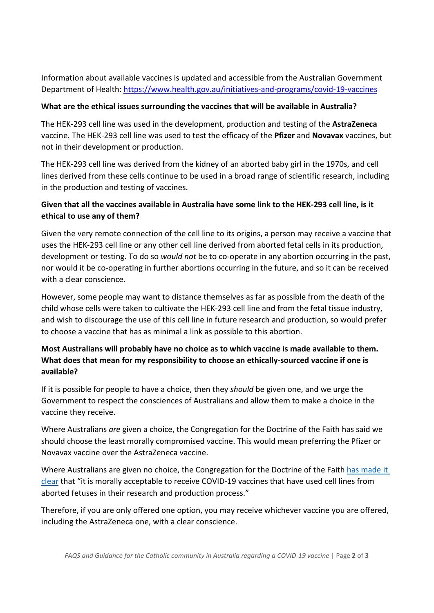Information about available vaccines is updated and accessible from the Australian Government Department of Health: <https://www.health.gov.au/initiatives-and-programs/covid-19-vaccines>

### **What are the ethical issues surrounding the vaccines that will be available in Australia?**

The HEK-293 cell line was used in the development, production and testing of the **AstraZeneca** vaccine. The HEK-293 cell line was used to test the efficacy of the **Pfizer** and **Novavax** vaccines, but not in their development or production.

The HEK-293 cell line was derived from the kidney of an aborted baby girl in the 1970s, and cell lines derived from these cells continue to be used in a broad range of scientific research, including in the production and testing of vaccines.

# **Given that all the vaccines available in Australia have some link to the HEK-293 cell line, is it ethical to use any of them?**

Given the very remote connection of the cell line to its origins, a person may receive a vaccine that uses the HEK-293 cell line or any other cell line derived from aborted fetal cells in its production, development or testing. To do so *would not* be to co-operate in any abortion occurring in the past, nor would it be co-operating in further abortions occurring in the future, and so it can be received with a clear conscience.

However, some people may want to distance themselves as far as possible from the death of the child whose cells were taken to cultivate the HEK-293 cell line and from the fetal tissue industry, and wish to discourage the use of this cell line in future research and production, so would prefer to choose a vaccine that has as minimal a link as possible to this abortion.

# **Most Australians will probably have no choice as to which vaccine is made available to them. What does that mean for my responsibility to choose an ethically-sourced vaccine if one is available?**

If it is possible for people to have a choice, then they *should* be given one, and we urge the Government to respect the consciences of Australians and allow them to make a choice in the vaccine they receive.

Where Australians *are* given a choice, the Congregation for the Doctrine of the Faith has said we should choose the least morally compromised vaccine. This would mean preferring the Pfizer or Novavax vaccine over the AstraZeneca vaccine.

Where Australians are given no choice, the Congregation for the Doctrine of the Faith has made it [clear](https://www.vatican.va/roman_curia/congregations/cfaith/documents/rc_con_cfaith_doc_20081208_dignitas-personae_en.html) that "it is morally acceptable to receive COVID-19 vaccines that have used cell lines from aborted fetuses in their research and production process."

Therefore, if you are only offered one option, you may receive whichever vaccine you are offered, including the AstraZeneca one, with a clear conscience.